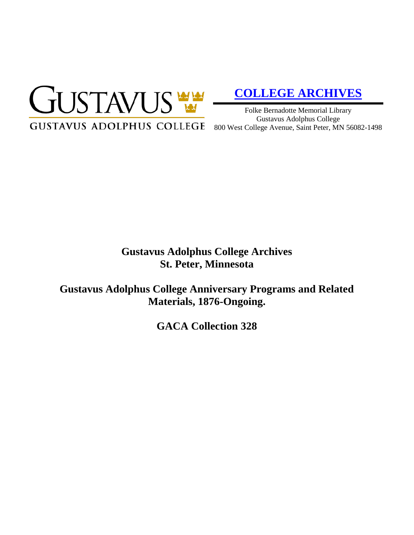

# **[COLLEGE ARCHIVES](http://gustavus.edu/academics/library/archives/)**

Folke Bernadotte Memorial Library Gustavus Adolphus College

# **Gustavus Adolphus College Archives St. Peter, Minnesota**

**Gustavus Adolphus College Anniversary Programs and Related Materials, 1876-Ongoing.**

**GACA Collection 328**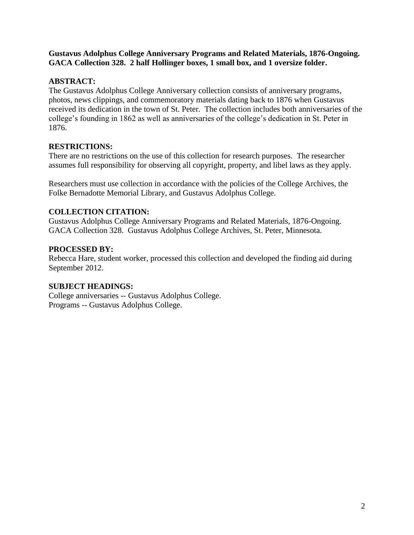#### **Gustavus Adolphus College Anniversary Programs and Related Materials, 1876-Ongoing. GACA Collection 328. 2 half Hollinger boxes, 1 small box, and 1 oversize folder.**

#### **ABSTRACT:**

The Gustavus Adolphus College Anniversary collection consists of anniversary programs, photos, news clippings, and commemoratory materials dating back to 1876 when Gustavus received its dedication in the town of St. Peter. The collection includes both anniversaries of the college's founding in 1862 as well as anniversaries of the college's dedication in St. Peter in 1876.

#### **RESTRICTIONS:**

There are no restrictions on the use of this collection for research purposes. The researcher assumes full responsibility for observing all copyright, property, and libel laws as they apply.

Researchers must use collection in accordance with the policies of the College Archives, the Folke Bernadotte Memorial Library, and Gustavus Adolphus College.

## **COLLECTION CITATION:**

Gustavus Adolphus College Anniversary Programs and Related Materials, 1876-Ongoing. GACA Collection 328. Gustavus Adolphus College Archives, St. Peter, Minnesota.

## **PROCESSED BY:**

Rebecca Hare, student worker, processed this collection and developed the finding aid during September 2012.

# **SUBJECT HEADINGS:**

College anniversaries -- Gustavus Adolphus College. Programs -- Gustavus Adolphus College.